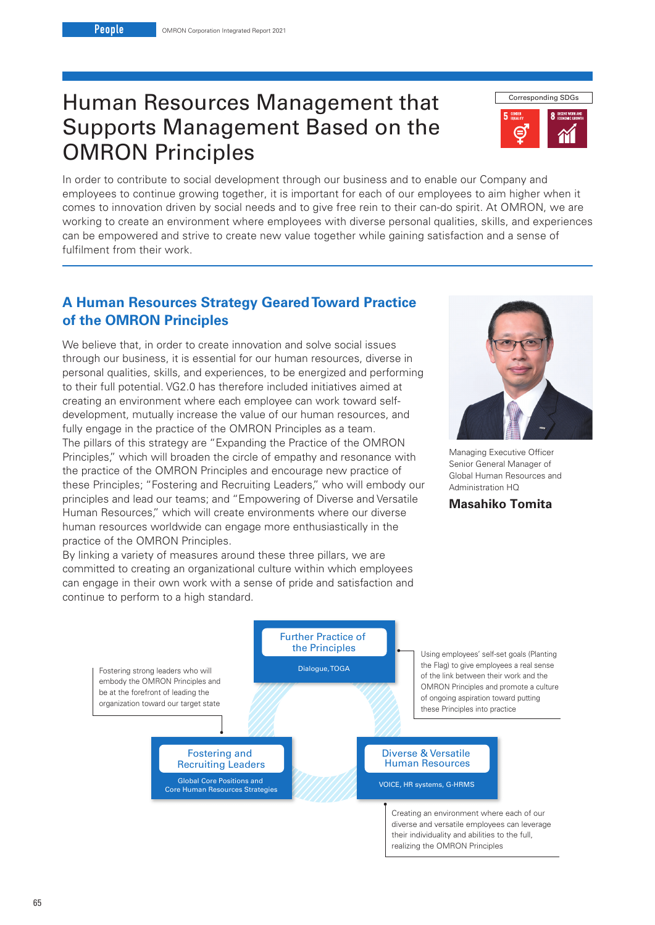# Human Resources Management that Supports Management Based on the OMRON Principles



In order to contribute to social development through our business and to enable our Company and employees to continue growing together, it is important for each of our employees to aim higher when it comes to innovation driven by social needs and to give free rein to their can-do spirit. At OMRON, we are working to create an environment where employees with diverse personal qualities, skills, and experiences can be empowered and strive to create new value together while gaining satisfaction and a sense of fulfilment from their work.

# **A Human Resources Strategy Geared Toward Practice of the OMRON Principles**

We believe that, in order to create innovation and solve social issues through our business, it is essential for our human resources, diverse in personal qualities, skills, and experiences, to be energized and performing to their full potential. VG2.0 has therefore included initiatives aimed at creating an environment where each employee can work toward selfdevelopment, mutually increase the value of our human resources, and fully engage in the practice of the OMRON Principles as a team. The pillars of this strategy are "Expanding the Practice of the OMRON Principles," which will broaden the circle of empathy and resonance with the practice of the OMRON Principles and encourage new practice of these Principles; "Fostering and Recruiting Leaders," who will embody our principles and lead our teams; and "Empowering of Diverse and Versatile Human Resources," which will create environments where our diverse human resources worldwide can engage more enthusiastically in the practice of the OMRON Principles.

By linking a variety of measures around these three pillars, we are committed to creating an organizational culture within which employees can engage in their own work with a sense of pride and satisfaction and



Managing Executive Officer Senior General Manager of Global Human Resources and Administration HQ

### **Masahiko Tomita**

their individuality and abilities to the full, realizing the OMRON Principles



65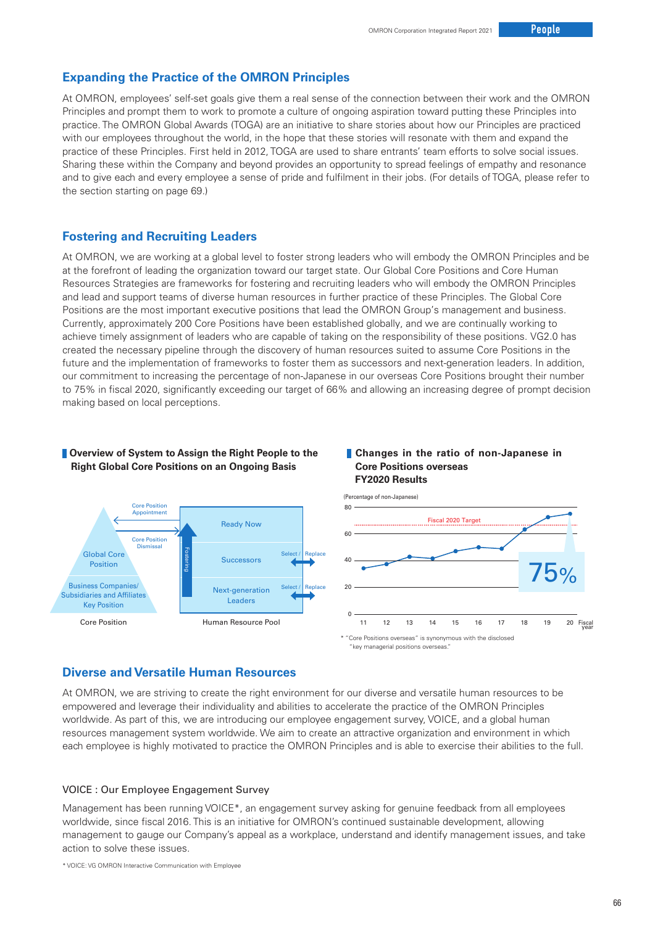### **Expanding the Practice of the OMRON Principles**

At OMRON, employees' self-set goals give them a real sense of the connection between their work and the OMRON Principles and prompt them to work to promote a culture of ongoing aspiration toward putting these Principles into practice. The OMRON Global Awards (TOGA) are an initiative to share stories about how our Principles are practiced with our employees throughout the world, in the hope that these stories will resonate with them and expand the practice of these Principles. First held in 2012, TOGA are used to share entrants' team efforts to solve social issues. Sharing these within the Company and beyond provides an opportunity to spread feelings of empathy and resonance and to give each and every employee a sense of pride and fulfilment in their jobs. (For details of TOGA, please refer to the section starting on page 69.)

### **Fostering and Recruiting Leaders**

At OMRON, we are working at a global level to foster strong leaders who will embody the OMRON Principles and be at the forefront of leading the organization toward our target state. Our Global Core Positions and Core Human Resources Strategies are frameworks for fostering and recruiting leaders who will embody the OMRON Principles and lead and support teams of diverse human resources in further practice of these Principles. The Global Core Positions are the most important executive positions that lead the OMRON Group's management and business. Currently, approximately 200 Core Positions have been established globally, and we are continually working to achieve timely assignment of leaders who are capable of taking on the responsibility of these positions. VG2.0 has created the necessary pipeline through the discovery of human resources suited to assume Core Positions in the future and the implementation of frameworks to foster them as successors and next-generation leaders. In addition, our commitment to increasing the percentage of non-Japanese in our overseas Core Positions brought their number to 75% in fiscal 2020, significantly exceeding our target of 66% and allowing an increasing degree of prompt decision making based on local perceptions.

#### **Coverview of System to Assign the Right People to the Right Global Core Positions on an Ongoing Basis**

#### **Changes in the ratio of non-Japanese in Core Positions overseas FY2020 Results**



### **Diverse and Versatile Human Resources**

At OMRON, we are striving to create the right environment for our diverse and versatile human resources to be empowered and leverage their individuality and abilities to accelerate the practice of the OMRON Principles worldwide. As part of this, we are introducing our employee engagement survey, VOICE, and a global human resources management system worldwide. We aim to create an attractive organization and environment in which each employee is highly motivated to practice the OMRON Principles and is able to exercise their abilities to the full.

#### VOICE : Our Employee Engagement Survey

Management has been running VOICE\*, an engagement survey asking for genuine feedback from all employees worldwide, since fiscal 2016. This is an initiative for OMRON's continued sustainable development, allowing management to gauge our Company's appeal as a workplace, understand and identify management issues, and take action to solve these issues.

\* VOICE: VG OMRON Interactive Communication with Employee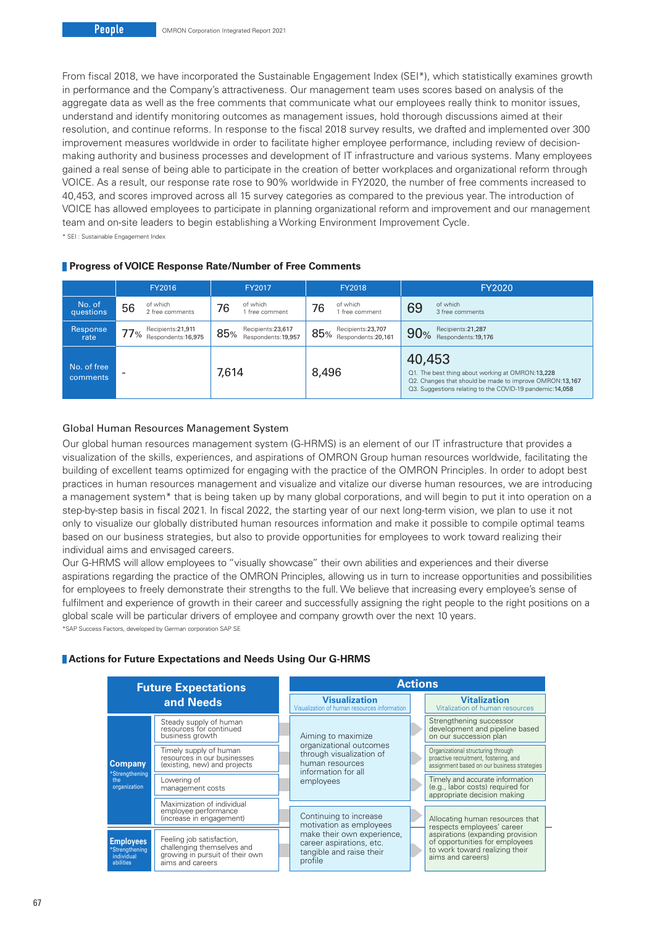From fiscal 2018, we have incorporated the Sustainable Engagement Index (SEI\*), which statistically examines growth in performance and the Company's attractiveness. Our management team uses scores based on analysis of the aggregate data as well as the free comments that communicate what our employees really think to monitor issues, understand and identify monitoring outcomes as management issues, hold thorough discussions aimed at their resolution, and continue reforms. In response to the fiscal 2018 survey results, we drafted and implemented over 300 improvement measures worldwide in order to facilitate higher employee performance, including review of decisionmaking authority and business processes and development of IT infrastructure and various systems. Many employees gained a real sense of being able to participate in the creation of better workplaces and organizational reform through VOICE. As a result, our response rate rose to 90% worldwide in FY2020, the number of free comments increased to 40,453, and scores improved across all 15 survey categories as compared to the previous year. The introduction of VOICE has allowed employees to participate in planning organizational reform and improvement and our management team and on-site leaders to begin establishing a Working Environment Improvement Cycle.

\* SEI : Sustainable Engagement Index

|                                | FY2016         |                                                            | FY2017 |                                          | <b>FY2018</b> |                                          | FY2020 |                                                                                                                                                                         |  |
|--------------------------------|----------------|------------------------------------------------------------|--------|------------------------------------------|---------------|------------------------------------------|--------|-------------------------------------------------------------------------------------------------------------------------------------------------------------------------|--|
| No. of<br>questions            | of which<br>56 | 2 free comments                                            | 76     | of which<br>free comment                 | 76            | of which<br>1 free comment               | 69     | of which<br>3 free comments                                                                                                                                             |  |
| Response<br>rate               |                | Recipients: 21,911<br>$\overline{77}$ % Respondents:16,975 | 85%    | Recipients:23,617<br>Respondents: 19.957 | 85%           | Recipients:23,707<br>Respondents: 20.161 | 90%    | Recipients: 21, 287<br>Respondents: 19,176                                                                                                                              |  |
| No. of free<br><b>comments</b> |                |                                                            | 7,614  |                                          | 8,496         |                                          | 40,453 | Q1. The best thing about working at OMRON:13,228<br>Q2. Changes that should be made to improve OMRON:13,167<br>Q3. Suggestions relating to the COVID-19 pandemic:14,058 |  |

#### **Progress of VOICE Response Rate/Number of Free Comments**

#### Global Human Resources Management System

Our global human resources management system (G-HRMS) is an element of our IT infrastructure that provides a visualization of the skills, experiences, and aspirations of OMRON Group human resources worldwide, facilitating the building of excellent teams optimized for engaging with the practice of the OMRON Principles. In order to adopt best practices in human resources management and visualize and vitalize our diverse human resources, we are introducing a management system\* that is being taken up by many global corporations, and will begin to put it into operation on a step-by-step basis in fiscal 2021. In fiscal 2022, the starting year of our next long-term vision, we plan to use it not only to visualize our globally distributed human resources information and make it possible to compile optimal teams based on our business strategies, but also to provide opportunities for employees to work toward realizing their individual aims and envisaged careers.

Our G-HRMS will allow employees to "visually showcase" their own abilities and experiences and their diverse aspirations regarding the practice of the OMRON Principles, allowing us in turn to increase opportunities and possibilities for employees to freely demonstrate their strengths to the full. We believe that increasing every employee's sense of fulfilment and experience of growth in their career and successfully assigning the right people to the right positions on a global scale will be particular drivers of employee and company growth over the next 10 years.

\*SAP Success Factors, developed by German corporation SAP SE

#### **Actions for Future Expectations and Needs Using Our G-HRMS**

| <b>Future Expectations</b><br>and Needs                       |                                                                                                                |  | <b>Actions</b>                                                                                |  |                                                                                                                            |  |  |  |
|---------------------------------------------------------------|----------------------------------------------------------------------------------------------------------------|--|-----------------------------------------------------------------------------------------------|--|----------------------------------------------------------------------------------------------------------------------------|--|--|--|
|                                                               |                                                                                                                |  | <b>Visualization</b><br>Visualization of human resources information                          |  | <b>Vitalization</b><br>Vitalization of human resources                                                                     |  |  |  |
| <b>Company</b><br>*Strengthening<br>the<br>organization       | Steady supply of human<br>resources for continued<br>business growth                                           |  | Aiming to maximize                                                                            |  | Strengthening successor<br>development and pipeline based<br>on our succession plan                                        |  |  |  |
|                                                               | Timely supply of human<br>resources in our businesses<br>(existing, new) and projects                          |  | organizational outcomes<br>through visualization of<br>human resources<br>information for all |  | Organizational structuring through<br>proactive recruitment, fostering, and<br>assignment based on our business strategies |  |  |  |
|                                                               | Lowering of<br>management costs                                                                                |  | employees                                                                                     |  | Timely and accurate information<br>(e.g., labor costs) required for<br>appropriate decision making                         |  |  |  |
|                                                               | Maximization of individual<br>employee performance<br>(increase in engagement)                                 |  | Continuing to increase<br>motivation as employees                                             |  | Allocating human resources that<br>respects employees' career                                                              |  |  |  |
| <b>Employees</b><br>*Strengthening<br>individual<br>abilities | Feeling job satisfaction,<br>challenging themselves and<br>growing in pursuit of their own<br>aims and careers |  | make their own experience,<br>career aspirations, etc.<br>tangible and raise their<br>profile |  | aspirations (expanding provision<br>of opportunities for employees<br>to work toward realizing their<br>aims and careers)  |  |  |  |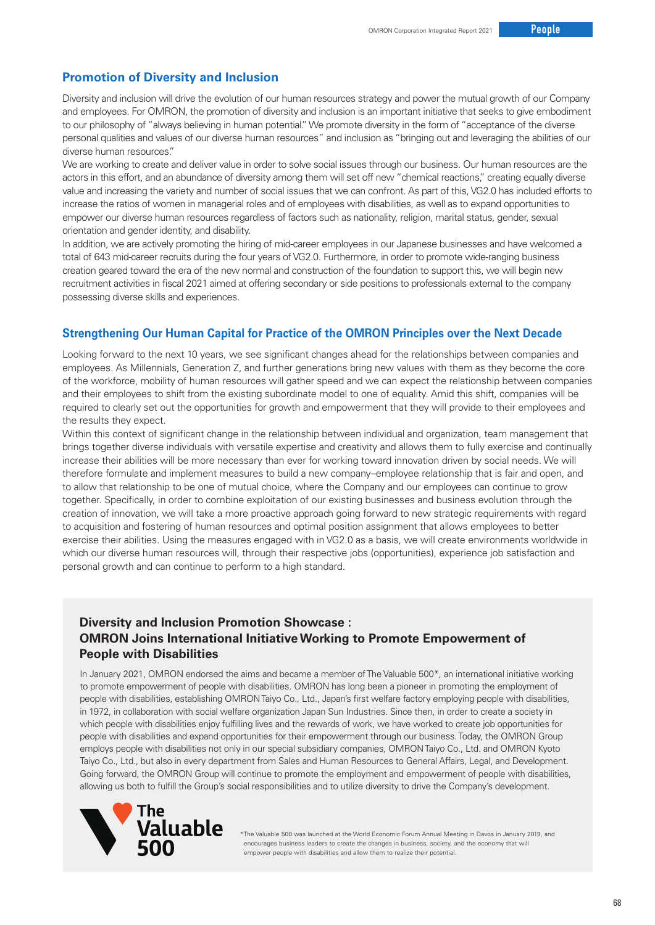### **Promotion of Diversity and Inclusion**

Diversity and inclusion will drive the evolution of our human resources strategy and power the mutual growth of our Company and employees. For OMRON, the promotion of diversity and inclusion is an important initiative that seeks to give embodiment to our philosophy of "always believing in human potential." We promote diversity in the form of "acceptance of the diverse personal qualities and values of our diverse human resources" and inclusion as "bringing out and leveraging the abilities of our diverse human resources."

We are working to create and deliver value in order to solve social issues through our business. Our human resources are the actors in this effort, and an abundance of diversity among them will set off new "chemical reactions," creating equally diverse value and increasing the variety and number of social issues that we can confront. As part of this, VG2.0 has included efforts to increase the ratios of women in managerial roles and of employees with disabilities, as well as to expand opportunities to empower our diverse human resources regardless of factors such as nationality, religion, marital status, gender, sexual orientation and gender identity, and disability.

In addition, we are actively promoting the hiring of mid-career employees in our Japanese businesses and have welcomed a total of 643 mid-career recruits during the four years of VG2.0. Furthermore, in order to promote wide-ranging business creation geared toward the era of the new normal and construction of the foundation to support this, we will begin new recruitment activities in fiscal 2021 aimed at offering secondary or side positions to professionals external to the company possessing diverse skills and experiences.

### **Strengthening Our Human Capital for Practice of the OMRON Principles over the Next Decade**

Looking forward to the next 10 years, we see significant changes ahead for the relationships between companies and employees. As Millennials, Generation Z, and further generations bring new values with them as they become the core of the workforce, mobility of human resources will gather speed and we can expect the relationship between companies and their employees to shift from the existing subordinate model to one of equality. Amid this shift, companies will be required to clearly set out the opportunities for growth and empowerment that they will provide to their employees and the results they expect.

Within this context of significant change in the relationship between individual and organization, team management that brings together diverse individuals with versatile expertise and creativity and allows them to fully exercise and continually increase their abilities will be more necessary than ever for working toward innovation driven by social needs. We will therefore formulate and implement measures to build a new company–employee relationship that is fair and open, and to allow that relationship to be one of mutual choice, where the Company and our employees can continue to grow together. Specifically, in order to combine exploitation of our existing businesses and business evolution through the creation of innovation, we will take a more proactive approach going forward to new strategic requirements with regard to acquisition and fostering of human resources and optimal position assignment that allows employees to better exercise their abilities. Using the measures engaged with in VG2.0 as a basis, we will create environments worldwide in which our diverse human resources will, through their respective jobs (opportunities), experience job satisfaction and personal growth and can continue to perform to a high standard.

### **Diversity and Inclusion Promotion Showcase : OMRON Joins International Initiative Working to Promote Empowerment of People with Disabilities**

In January 2021, OMRON endorsed the aims and became a member of The Valuable 500\*, an international initiative working to promote empowerment of people with disabilities. OMRON has long been a pioneer in promoting the employment of people with disabilities, establishing OMRON Taiyo Co., Ltd., Japan's first welfare factory employing people with disabilities, in 1972, in collaboration with social welfare organization Japan Sun Industries. Since then, in order to create a society in which people with disabilities enjoy fulfilling lives and the rewards of work, we have worked to create job opportunities for people with disabilities and expand opportunities for their empowerment through our business. Today, the OMRON Group employs people with disabilities not only in our special subsidiary companies, OMRON Taiyo Co., Ltd. and OMRON Kyoto Taiyo Co., Ltd., but also in every department from Sales and Human Resources to General Affairs, Legal, and Development. Going forward, the OMRON Group will continue to promote the employment and empowerment of people with disabilities, allowing us both to fulfill the Group's social responsibilities and to utilize diversity to drive the Company's development.



\*The Valuable 500 was launched at the World Economic Forum Annual Meeting in Davos in January 2019, and encourages business leaders to create the changes in business, society, and the economy that will empower people with disabilities and allow them to realize their potential.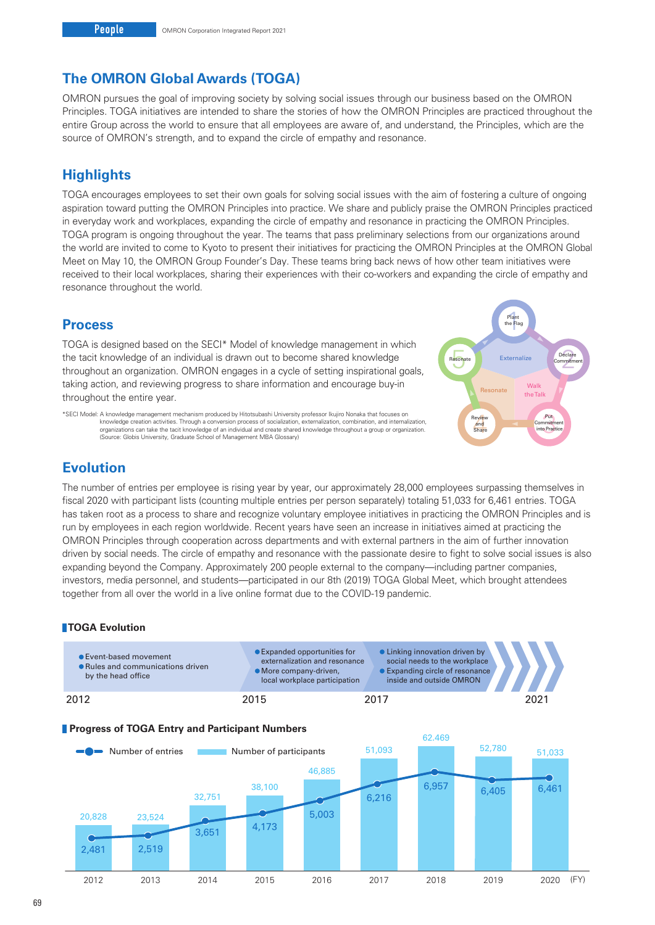# **The OMRON Global Awards (TOGA)**

OMRON pursues the goal of improving society by solving social issues through our business based on the OMRON Principles. TOGA initiatives are intended to share the stories of how the OMRON Principles are practiced throughout the entire Group across the world to ensure that all employees are aware of, and understand, the Principles, which are the source of OMRON's strength, and to expand the circle of empathy and resonance.

# **Highlights**

TOGA encourages employees to set their own goals for solving social issues with the aim of fostering a culture of ongoing aspiration toward putting the OMRON Principles into practice. We share and publicly praise the OMRON Principles practiced in everyday work and workplaces, expanding the circle of empathy and resonance in practicing the OMRON Principles. TOGA program is ongoing throughout the year. The teams that pass preliminary selections from our organizations around the world are invited to come to Kyoto to present their initiatives for practicing the OMRON Principles at the OMRON Global Meet on May 10, the OMRON Group Founder's Day. These teams bring back news of how other team initiatives were received to their local workplaces, sharing their experiences with their co-workers and expanding the circle of empathy and resonance throughout the world.

# **Process**

TOGA is designed based on the SECI\* Model of knowledge management in which the tacit knowledge of an individual is drawn out to become shared knowledge throughout an organization. OMRON engages in a cycle of setting inspirational goals, taking action, and reviewing progress to share information and encourage buy-in throughout the entire year.

Walk the Talk **Externalize** Plant<br>the Fla eclare<br>nmitm<br>. Review<br>
and<br>
Share Commitm<br>
into Pract Resonate the Flag Declare Resonate Externalize Commitment Put **Commitment** into Practice Review and Share

\*SECI Model: A knowledge management mechanism produced by Hitotsubashi University professor Ikujiro Nonaka that focuses on knowledge creation activities. Through a conversion process of socialization, externalization, combination, and internalization,<br>organizations can take the tacit knowledge of an individual and create shared knowledge throu (Source: Globis University, Graduate School of Management MBA Glossary)

# **Evolution**

The number of entries per employee is rising year by year, our approximately 28,000 employees surpassing themselves in fiscal 2020 with participant lists (counting multiple entries per person separately) totaling 51,033 for 6,461 entries. TOGA has taken root as a process to share and recognize voluntary employee initiatives in practicing the OMRON Principles and is run by employees in each region worldwide. Recent years have seen an increase in initiatives aimed at practicing the OMRON Principles through cooperation across departments and with external partners in the aim of further innovation driven by social needs. The circle of empathy and resonance with the passionate desire to fight to solve social issues is also expanding beyond the Company. Approximately 200 people external to the company—including partner companies, investors, media personnel, and students—participated in our 8th (2019) TOGA Global Meet, which brought attendees together from all over the world in a live online format due to the COVID-19 pandemic.

### **TOGA Evolution**

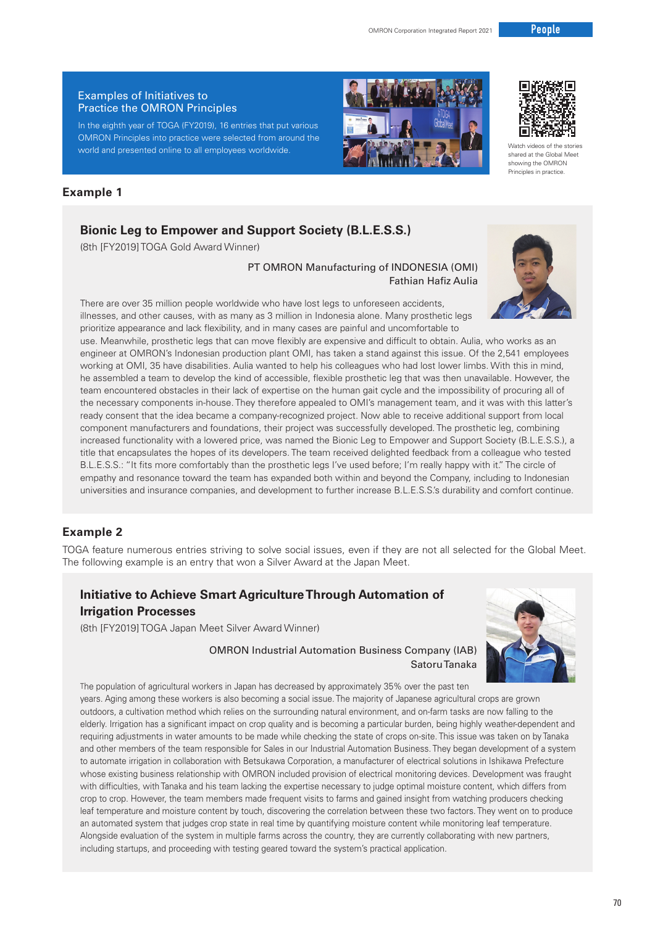#### Examples of Initiatives to Practice the OMRON Principles

In the eighth year of TOGA (FY2019), 16 entries that put various OMRON Principles into practice were selected from around the world and presented online to all employees worldwide.

## **Example 1**

# **Bionic Leg to Empower and Support Society (B.L.E.S.S.)**

(8th [FY2019] TOGA Gold Award Winner)

PT OMRON Manufacturing of INDONESIA (OMI) Fathian Hafiz Aulia

There are over 35 million people worldwide who have lost legs to unforeseen accidents, illnesses, and other causes, with as many as 3 million in Indonesia alone. Many prosthetic legs prioritize appearance and lack flexibility, and in many cases are painful and uncomfortable to

use. Meanwhile, prosthetic legs that can move flexibly are expensive and difficult to obtain. Aulia, who works as an engineer at OMRON's Indonesian production plant OMI, has taken a stand against this issue. Of the 2,541 employees working at OMI, 35 have disabilities. Aulia wanted to help his colleagues who had lost lower limbs. With this in mind, he assembled a team to develop the kind of accessible, flexible prosthetic leg that was then unavailable. However, the team encountered obstacles in their lack of expertise on the human gait cycle and the impossibility of procuring all of the necessary components in-house. They therefore appealed to OMI's management team, and it was with this latter's ready consent that the idea became a company-recognized project. Now able to receive additional support from local component manufacturers and foundations, their project was successfully developed. The prosthetic leg, combining increased functionality with a lowered price, was named the Bionic Leg to Empower and Support Society (B.L.E.S.S.), a title that encapsulates the hopes of its developers. The team received delighted feedback from a colleague who tested B.L.E.S.S.: "It fits more comfortably than the prosthetic legs I've used before; I'm really happy with it." The circle of empathy and resonance toward the team has expanded both within and beyond the Company, including to Indonesian universities and insurance companies, and development to further increase B.L.E.S.S.'s durability and comfort continue.

### **Example 2**

TOGA feature numerous entries striving to solve social issues, even if they are not all selected for the Global Meet. The following example is an entry that won a Silver Award at the Japan Meet.

# **Initiative to Achieve Smart Agriculture Through Automation of Irrigation Processes**

(8th [FY2019] TOGA Japan Meet Silver Award Winner)



### OMRON Industrial Automation Business Company (IAB) Satoru Tanaka

The population of agricultural workers in Japan has decreased by approximately 35% over the past ten years. Aging among these workers is also becoming a social issue. The majority of Japanese agricultural crops are grown outdoors, a cultivation method which relies on the surrounding natural environment, and on-farm tasks are now falling to the elderly. Irrigation has a significant impact on crop quality and is becoming a particular burden, being highly weather-dependent and requiring adjustments in water amounts to be made while checking the state of crops on-site. This issue was taken on by Tanaka and other members of the team responsible for Sales in our Industrial Automation Business. They began development of a system to automate irrigation in collaboration with Betsukawa Corporation, a manufacturer of electrical solutions in Ishikawa Prefecture whose existing business relationship with OMRON included provision of electrical monitoring devices. Development was fraught with difficulties, with Tanaka and his team lacking the expertise necessary to judge optimal moisture content, which differs from crop to crop. However, the team members made frequent visits to farms and gained insight from watching producers checking leaf temperature and moisture content by touch, discovering the correlation between these two factors. They went on to produce an automated system that judges crop state in real time by quantifying moisture content while monitoring leaf temperature. Alongside evaluation of the system in multiple farms across the country, they are currently collaborating with new partners, including startups, and proceeding with testing geared toward the system's practical application.



Watch videos of the stories shared at the Global Meet showing the OMRON Principles in practice.